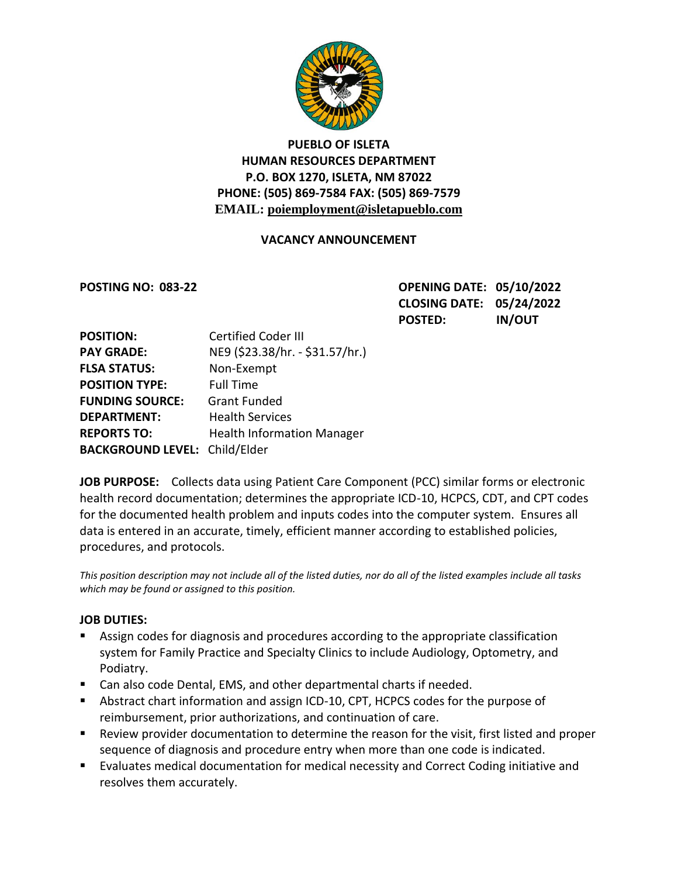

# **PUEBLO OF ISLETA HUMAN RESOURCES DEPARTMENT P.O. BOX 1270, ISLETA, NM 87022 PHONE: (505) 869-7584 FAX: (505) 869-7579 EMAIL: poiemployment@isletapueblo.com**

## **VACANCY ANNOUNCEMENT**

**POSTING NO: 083-22 OPENING DATE: 05/10/2022 CLOSING DATE: 05/24/2022 POSTED: IN/OUT**

| <b>POSITION:</b>                     | <b>Certified Coder III</b>        |
|--------------------------------------|-----------------------------------|
| <b>PAY GRADE:</b>                    | NE9 (\$23.38/hr. - \$31.57/hr.)   |
| <b>FLSA STATUS:</b>                  | Non-Exempt                        |
| <b>POSITION TYPE:</b>                | <b>Full Time</b>                  |
| <b>FUNDING SOURCE:</b>               | <b>Grant Funded</b>               |
| <b>DEPARTMENT:</b>                   | <b>Health Services</b>            |
| <b>REPORTS TO:</b>                   | <b>Health Information Manager</b> |
| <b>BACKGROUND LEVEL: Child/Elder</b> |                                   |

**JOB PURPOSE:** Collects data using Patient Care Component (PCC) similar forms or electronic health record documentation; determines the appropriate ICD-10, HCPCS, CDT, and CPT codes for the documented health problem and inputs codes into the computer system. Ensures all data is entered in an accurate, timely, efficient manner according to established policies, procedures, and protocols.

*This position description may not include all of the listed duties, nor do all of the listed examples include all tasks which may be found or assigned to this position.*

### **JOB DUTIES:**

- Assign codes for diagnosis and procedures according to the appropriate classification system for Family Practice and Specialty Clinics to include Audiology, Optometry, and Podiatry.
- Can also code Dental, EMS, and other departmental charts if needed.
- Abstract chart information and assign ICD-10, CPT, HCPCS codes for the purpose of reimbursement, prior authorizations, and continuation of care.
- Review provider documentation to determine the reason for the visit, first listed and proper sequence of diagnosis and procedure entry when more than one code is indicated.
- Evaluates medical documentation for medical necessity and Correct Coding initiative and resolves them accurately.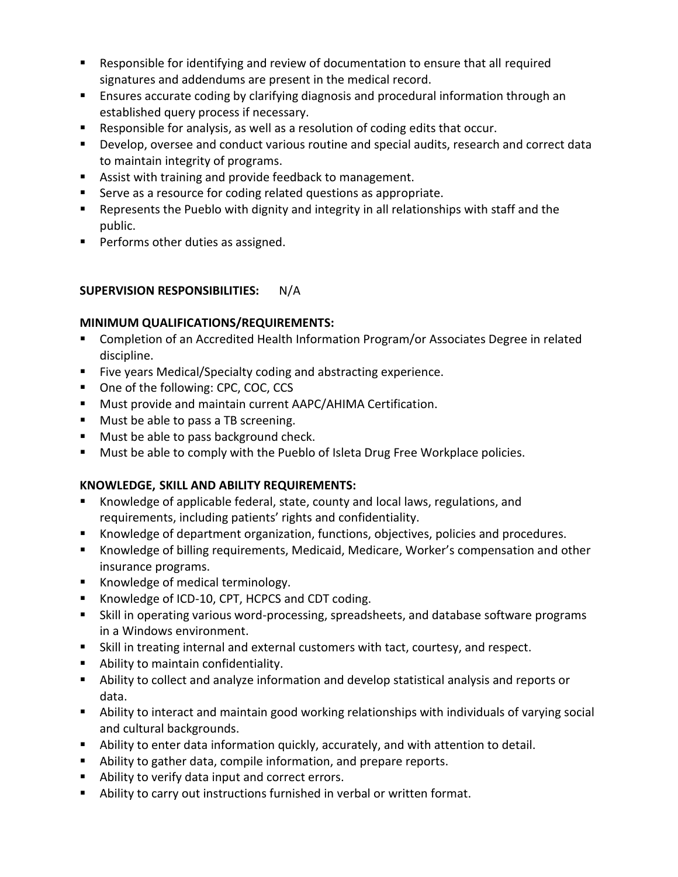- Responsible for identifying and review of documentation to ensure that all required signatures and addendums are present in the medical record.
- **E** Ensures accurate coding by clarifying diagnosis and procedural information through an established query process if necessary.
- Responsible for analysis, as well as a resolution of coding edits that occur.
- **Develop, oversee and conduct various routine and special audits, research and correct data** to maintain integrity of programs.
- **Assist with training and provide feedback to management.**
- Serve as a resource for coding related questions as appropriate.
- Represents the Pueblo with dignity and integrity in all relationships with staff and the public.
- **Performs other duties as assigned.**

## **SUPERVISION RESPONSIBILITIES:** N/A

## **MINIMUM QUALIFICATIONS/REQUIREMENTS:**

- **E** Completion of an Accredited Health Information Program/or Associates Degree in related discipline.
- **Five years Medical/Specialty coding and abstracting experience.**
- One of the following: CPC, COC, CCS
- **Must provide and maintain current AAPC/AHIMA Certification.**
- **Must be able to pass a TB screening.**
- **Must be able to pass background check.**
- Must be able to comply with the Pueblo of Isleta Drug Free Workplace policies.

# **KNOWLEDGE, SKILL AND ABILITY REQUIREMENTS:**

- Knowledge of applicable federal, state, county and local laws, regulations, and requirements, including patients' rights and confidentiality.
- **K**nowledge of department organization, functions, objectives, policies and procedures.
- Knowledge of billing requirements, Medicaid, Medicare, Worker's compensation and other insurance programs.
- Knowledge of medical terminology.
- Knowledge of ICD-10, CPT, HCPCS and CDT coding.
- Skill in operating various word-processing, spreadsheets, and database software programs in a Windows environment.
- Skill in treating internal and external customers with tact, courtesy, and respect.
- **Ability to maintain confidentiality.**
- Ability to collect and analyze information and develop statistical analysis and reports or data.
- Ability to interact and maintain good working relationships with individuals of varying social and cultural backgrounds.
- Ability to enter data information quickly, accurately, and with attention to detail.
- Ability to gather data, compile information, and prepare reports.
- Ability to verify data input and correct errors.
- Ability to carry out instructions furnished in verbal or written format.